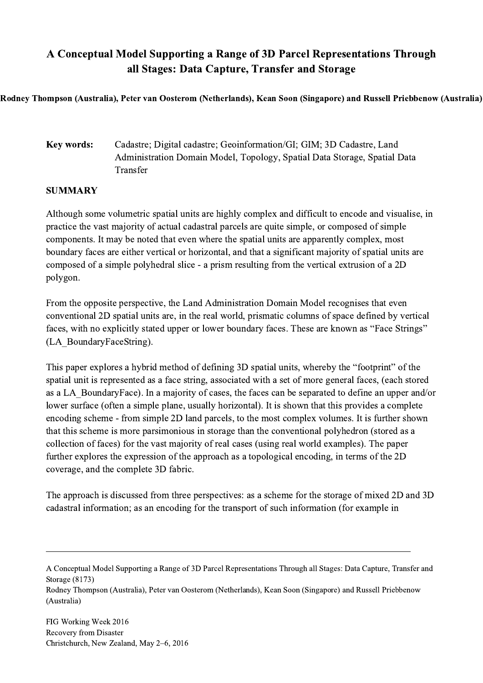## A Conceptual Model Supporting a Range of 3D Parcel Representations Through all Stages: Data Capture, Transfer and Storage

Rodney Thompson (Australia), Peter van Oosterom (Netherlands), Kean Soon (Singapore) and Russell Priebbenow (Australia)

## Key words: Cadastre; Digital cadastre; Geoinformation/GI; GIM; 3D Cadastre, Land Administration Domain Model, Topology, Spatial Data Storage, Spatial Data Transfer

## **SUMMARY**

Although some volumetric spatial units are highly complex and difficult to encode and visualise, in practice the vast majority of actual cadastral parcels are quite simple, or composed of simple components. It may be noted that even where the spatial units are apparently complex, most boundary faces are either vertical or horizontal, and that a significant majority of spatial units are composed of a simple polyhedral slice - a prism resulting from the vertical extrusion of a 2D polygon.

From the opposite perspective, the Land Administration Domain Model recognises that even conventional 2D spatial units are, in the real world, prismatic columns of space defined by vertical faces, with no explicitly stated upper or lower boundary faces. These are known as "Face Strings" (LA\_BoundaryFaceString).

This paper explores a hybrid method of defining 3D spatial units, whereby the "footprint" of the spatial unit is represented as a face string, associated with a set of more general faces, (each stored as a LA\_BoundaryFace). In a majority of cases, the faces can be separated to define an upper and/or lower surface (often a simple plane, usually horizontal). It is shown that this provides a complete encoding scheme - from simple 2D land parcels, to the most complex volumes. It is further shown that this scheme is more parsimonious in storage than the conventional polyhedron (stored as a collection of faces) for the vast majority of real cases (using real world examples). The paper further explores the expression of the approach as a topological encoding, in terms of the 2D coverage, and the complete 3D fabric.

The approach is discussed from three perspectives: as a scheme for the storage of mixed 2D and 3D cadastral information; as an encoding for the transport of such information (for example in

A Conceptual Model Supporting a Range of 3D Parcel Representations Through all Stages: Data Capture, Transfer and Storage (8173)

Rodney Thompson (Australia), Peter van Oosterom (Netherlands), Kean Soon (Singapore) and Russell Priebbenow (Australia)

 $\mathcal{L}_\mathcal{L} = \{ \mathcal{L}_\mathcal{L} = \{ \mathcal{L}_\mathcal{L} = \{ \mathcal{L}_\mathcal{L} = \{ \mathcal{L}_\mathcal{L} = \{ \mathcal{L}_\mathcal{L} = \{ \mathcal{L}_\mathcal{L} = \{ \mathcal{L}_\mathcal{L} = \{ \mathcal{L}_\mathcal{L} = \{ \mathcal{L}_\mathcal{L} = \{ \mathcal{L}_\mathcal{L} = \{ \mathcal{L}_\mathcal{L} = \{ \mathcal{L}_\mathcal{L} = \{ \mathcal{L}_\mathcal{L} = \{ \mathcal{L}_\mathcal{$ 

FIG Working Week 2016 Recovery from Disaster Christchurch, New Zealand, May 2–6, 2016